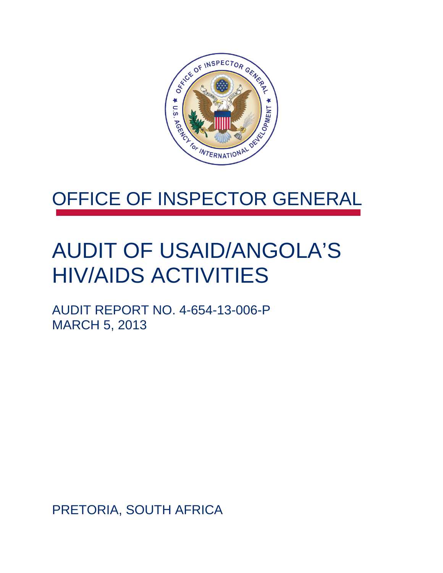

### OFFICE OF INSPECTOR GENERAL

## AUDIT OF USAID/ANGOLA'S HIV/AIDS ACTIVITIES

AUDIT REPORT NO. 4-654-13-006-P MARCH 5, 2013

PRETORIA, SOUTH AFRICA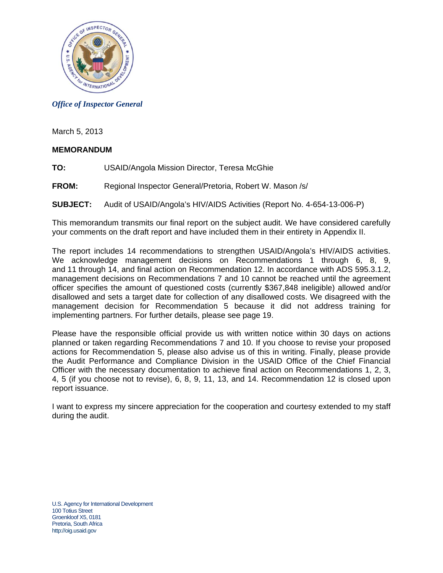

#### *Office of Inspector General*

March 5, 2013

#### **MEMORANDUM**

- **TO:** USAID/Angola Mission Director, Teresa McGhie
- **FROM:** Regional Inspector General/Pretoria, Robert W. Mason /s/

#### **SUBJECT:** Audit of USAID/Angola's HIV/AIDS Activities (Report No. 4-654-13-006-P)

This memorandum transmits our final report on the subject audit. We have considered carefully your comments on the draft report and have included them in their entirety in Appendix II.

The report includes 14 recommendations to strengthen USAID/Angola's HIV/AIDS activities. We acknowledge management decisions on Recommendations 1 through 6, 8, 9, and 11 through 14, and final action on Recommendation 12. In accordance with ADS 595.3.1.2, management decisions on Recommendations 7 and 10 cannot be reached until the agreement officer specifies the amount of questioned costs (currently \$367,848 ineligible) allowed and/or disallowed and sets a target date for collection of any disallowed costs. We disagreed with the management decision for Recommendation 5 because it did not address training for implementing partners. For further details, please see page 19.

Please have the responsible official provide us with written notice within 30 days on actions planned or taken regarding Recommendations 7 and 10. If you choose to revise your proposed actions for Recommendation 5, please also advise us of this in writing. Finally, please provide the Audit Performance and Compliance Division in the USAID Office of the Chief Financial Officer with the necessary documentation to achieve final action on Recommendations 1, 2, 3, 4, 5 (if you choose not to revise), 6, 8, 9, 11, 13, and 14. Recommendation 12 is closed upon report issuance.

I want to express my sincere appreciation for the cooperation and courtesy extended to my staff during the audit.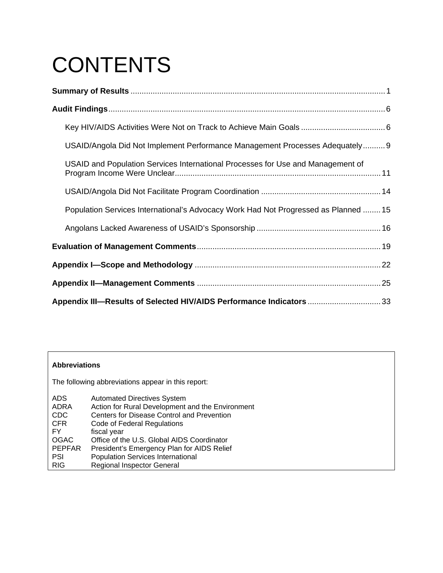# **CONTENTS**

| USAID/Angola Did Not Implement Performance Management Processes Adequately 9        |
|-------------------------------------------------------------------------------------|
| USAID and Population Services International Processes for Use and Management of     |
|                                                                                     |
| Population Services International's Advocacy Work Had Not Progressed as Planned  15 |
|                                                                                     |
|                                                                                     |
|                                                                                     |
|                                                                                     |
| Appendix III-Results of Selected HIV/AIDS Performance Indicators 33                 |

#### **Abbreviations**

The following abbreviations appear in this report:

| <b>ADS</b>    | <b>Automated Directives System</b>               |
|---------------|--------------------------------------------------|
| ADRA          | Action for Rural Development and the Environment |
| <b>CDC</b>    | Centers for Disease Control and Prevention       |
| <b>CFR</b>    | Code of Federal Regulations                      |
| FY            | fiscal year                                      |
| <b>OGAC</b>   | Office of the U.S. Global AIDS Coordinator       |
| <b>PEPFAR</b> | President's Emergency Plan for AIDS Relief       |
| <b>PSI</b>    | <b>Population Services International</b>         |
| <b>RIG</b>    | <b>Regional Inspector General</b>                |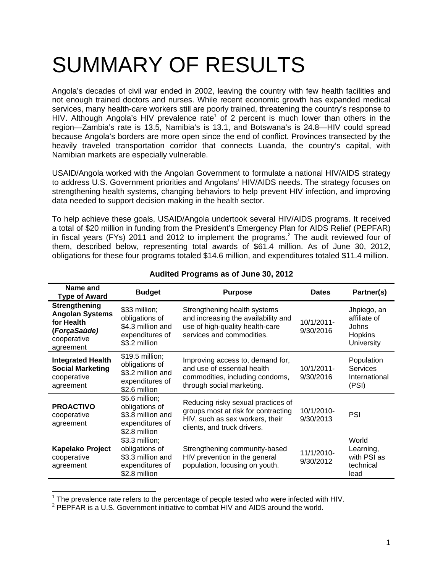# SUMMARY OF RESULTS

Angola's decades of civil war ended in 2002, leaving the country with few health facilities and not enough trained doctors and nurses. While recent economic growth has expanded medical services, many health-care workers still are poorly trained, threatening the country's response to HIV. Although Angola's HIV prevalence rate<sup>1</sup> of 2 percent is much lower than others in the region—Zambia's rate is 13.5, Namibia's is 13.1, and Botswana's is 24.8—HIV could spread because Angola's borders are more open since the end of conflict. Provinces transected by the heavily traveled transportation corridor that connects Luanda, the country's capital, with Namibian markets are especially vulnerable.

USAID/Angola worked with the Angolan Government to formulate a national HIV/AIDS strategy to address U.S. Government priorities and Angolans' HIV/AIDS needs. The strategy focuses on strengthening health systems, changing behaviors to help prevent HIV infection, and improving data needed to support decision making in the health sector.

To help achieve these goals, USAID/Angola undertook several HIV/AIDS programs. It received a total of \$20 million in funding from the President's Emergency Plan for AIDS Relief (PEPFAR) in fiscal years (FYs) 2011 and 2012 to implement the programs.<sup>2</sup> The audit reviewed four of them, described below, representing total awards of \$61.4 million. As of June 30, 2012, obligations for these four programs totaled \$14.6 million, and expenditures totaled \$11.4 million.

| Name and<br><b>Type of Award</b>                                                                  | <b>Budget</b>                                                                               | <b>Purpose</b>                                                                                                                              | <b>Dates</b>            | Partner(s)                                                                  |
|---------------------------------------------------------------------------------------------------|---------------------------------------------------------------------------------------------|---------------------------------------------------------------------------------------------------------------------------------------------|-------------------------|-----------------------------------------------------------------------------|
| Strengthening<br><b>Angolan Systems</b><br>for Health<br>(ForçaSaùde)<br>cooperative<br>agreement | \$33 million;<br>obligations of<br>\$4.3 million and<br>expenditures of<br>\$3.2 million    | Strengthening health systems<br>and increasing the availability and<br>use of high-quality health-care<br>services and commodities.         | 10/1/2011-<br>9/30/2016 | Jhpiego, an<br>affiliate of<br>Johns<br><b>Hopkins</b><br><b>University</b> |
| <b>Integrated Health</b><br><b>Social Marketing</b><br>cooperative<br>agreement                   | $$19.5$ million;<br>obligations of<br>\$3.2 million and<br>expenditures of<br>\$2.6 million | Improving access to, demand for,<br>and use of essential health<br>commodities, including condoms,<br>through social marketing.             | 10/1/2011-<br>9/30/2016 | Population<br><b>Services</b><br>International<br>(PSI)                     |
| <b>PROACTIVO</b><br>cooperative<br>agreement                                                      | $$5.6$ million;<br>obligations of<br>\$3.8 million and<br>expenditures of<br>\$2.8 million  | Reducing risky sexual practices of<br>groups most at risk for contracting<br>HIV, such as sex workers, their<br>clients, and truck drivers. | 10/1/2010-<br>9/30/2013 | PSI                                                                         |
| <b>Kapelako Project</b><br>cooperative<br>agreement                                               | \$3.3 million;<br>obligations of<br>\$3.3 million and<br>expenditures of<br>\$2.8 million   | Strengthening community-based<br>HIV prevention in the general<br>population, focusing on youth.                                            | 11/1/2010-<br>9/30/2012 | World<br>Learning,<br>with PSI as<br>technical<br>lead                      |

#### **Audited Programs as of June 30, 2012**

<sup>&</sup>lt;sup>1</sup> The prevalence rate refers to the percentage of people tested who were infected with HIV.<br><sup>2</sup> PEREAR is a U.S. Covernment initiative to compat HIV and AIDS around the world.

 $2$  PEPFAR is a U.S. Government initiative to combat HIV and AIDS around the world.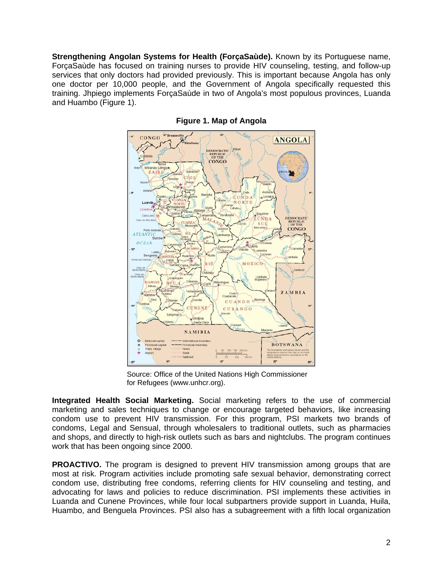**Strengthening Angolan Systems for Health (ForçaSaùde).** Known by its Portuguese name, ForçaSaùde has focused on training nurses to provide HIV counseling, testing, and follow-up services that only doctors had provided previously. This is important because Angola has only one doctor per 10,000 people, and the Government of Angola specifically requested this training. Jhpiego implements ForçaSaùde in two of Angola's most populous provinces, Luanda and Huambo (Figure 1).



**Figure 1. Map of Angola** 

Source: Office of the United Nations High Commissioner for Refugees (www.unhcr.org).

**Integrated Health Social Marketing.** Social marketing refers to the use of commercial marketing and sales techniques to change or encourage targeted behaviors, like increasing condom use to prevent HIV transmission. For this program, PSI markets two brands of condoms, Legal and Sensual, through wholesalers to traditional outlets, such as pharmacies and shops, and directly to high-risk outlets such as bars and nightclubs. The program continues work that has been ongoing since 2000.

**PROACTIVO.** The program is designed to prevent HIV transmission among groups that are most at risk. Program activities include promoting safe sexual behavior, demonstrating correct condom use, distributing free condoms, referring clients for HIV counseling and testing, and advocating for laws and policies to reduce discrimination. PSI implements these activities in Luanda and Cunene Provinces, while four local subpartners provide support in Luanda, Huila, Huambo, and Benguela Provinces. PSI also has a subagreement with a fifth local organization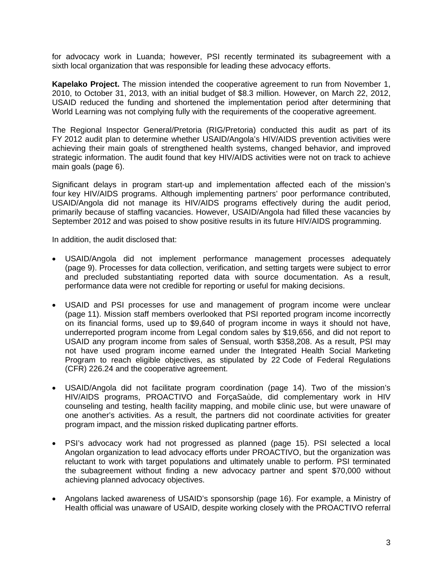for advocacy work in Luanda; however, PSI recently terminated its subagreement with a sixth local organization that was responsible for leading these advocacy efforts.

**Kapelako Project.** The mission intended the cooperative agreement to run from November 1, 2010, to October 31, 2013, with an initial budget of \$8.3 million. However, on March 22, 2012, USAID reduced the funding and shortened the implementation period after determining that World Learning was not complying fully with the requirements of the cooperative agreement.

The Regional Inspector General/Pretoria (RIG/Pretoria) conducted this audit as part of its FY 2012 audit plan to determine whether USAID/Angola's HIV/AIDS prevention activities were achieving their main goals of strengthened health systems, changed behavior, and improved strategic information. The audit found that key HIV/AIDS activities were not on track to achieve main goals (page 6).

Significant delays in program start-up and implementation affected each of the mission's four key HIV/AIDS programs. Although implementing partners' poor performance contributed, USAID/Angola did not manage its HIV/AIDS programs effectively during the audit period, primarily because of staffing vacancies. However, USAID/Angola had filled these vacancies by September 2012 and was poised to show positive results in its future HIV/AIDS programming.

In addition, the audit disclosed that:

- USAID/Angola did not implement performance management processes adequately (page 9). Processes for data collection, verification, and setting targets were subject to error and precluded substantiating reported data with source documentation. As a result, performance data were not credible for reporting or useful for making decisions.
- USAID and PSI processes for use and management of program income were unclear (page 11). Mission staff members overlooked that PSI reported program income incorrectly on its financial forms, used up to \$9,640 of program income in ways it should not have, underreported program income from Legal condom sales by \$19,656, and did not report to USAID any program income from sales of Sensual, worth \$358,208. As a result, PSI may not have used program income earned under the Integrated Health Social Marketing Program to reach eligible objectives, as stipulated by 22 Code of Federal Regulations (CFR) 226.24 and the cooperative agreement.
- USAID/Angola did not facilitate program coordination (page 14). Two of the mission's HIV/AIDS programs, PROACTIVO and ForçaSaùde, did complementary work in HIV counseling and testing, health facility mapping, and mobile clinic use, but were unaware of one another's activities. As a result, the partners did not coordinate activities for greater program impact, and the mission risked duplicating partner efforts.
- PSI's advocacy work had not progressed as planned (page 15). PSI selected a local Angolan organization to lead advocacy efforts under PROACTIVO, but the organization was reluctant to work with target populations and ultimately unable to perform. PSI terminated the subagreement without finding a new advocacy partner and spent \$70,000 without achieving planned advocacy objectives.
- Angolans lacked awareness of USAID's sponsorship (page 16). For example, a Ministry of Health official was unaware of USAID, despite working closely with the PROACTIVO referral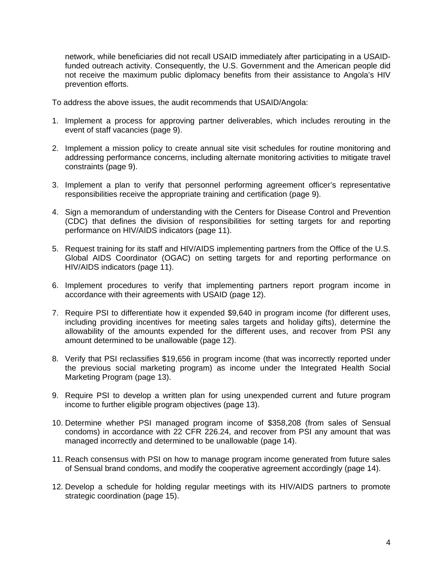network, while beneficiaries did not recall USAID immediately after participating in a USAIDfunded outreach activity. Consequently, the U.S. Government and the American people did not receive the maximum public diplomacy benefits from their assistance to Angola's HIV prevention efforts.

To address the above issues, the audit recommends that USAID/Angola:

- 1. Implement a process for approving partner deliverables, which includes rerouting in the event of staff vacancies (page 9).
- 2. Implement a mission policy to create annual site visit schedules for routine monitoring and addressing performance concerns, including alternate monitoring activities to mitigate travel constraints (page 9).
- 3. Implement a plan to verify that personnel performing agreement officer's representative responsibilities receive the appropriate training and certification (page 9).
- 4. Sign a memorandum of understanding with the Centers for Disease Control and Prevention (CDC) that defines the division of responsibilities for setting targets for and reporting performance on HIV/AIDS indicators (page 11).
- 5. Request training for its staff and HIV/AIDS implementing partners from the Office of the U.S. Global AIDS Coordinator (OGAC) on setting targets for and reporting performance on HIV/AIDS indicators (page 11).
- 6. Implement procedures to verify that implementing partners report program income in accordance with their agreements with USAID (page 12).
- 7. Require PSI to differentiate how it expended \$9,640 in program income (for different uses, including providing incentives for meeting sales targets and holiday gifts), determine the allowability of the amounts expended for the different uses, and recover from PSI any amount determined to be unallowable (page 12).
- 8. Verify that PSI reclassifies \$19,656 in program income (that was incorrectly reported under the previous social marketing program) as income under the Integrated Health Social Marketing Program (page 13).
- 9. Require PSI to develop a written plan for using unexpended current and future program income to further eligible program objectives (page 13).
- 10. Determine whether PSI managed program income of \$358,208 (from sales of Sensual condoms) in accordance with 22 CFR 226.24, and recover from PSI any amount that was managed incorrectly and determined to be unallowable (page 14).
- 11. Reach consensus with PSI on how to manage program income generated from future sales of Sensual brand condoms, and modify the cooperative agreement accordingly (page 14).
- 12. Develop a schedule for holding regular meetings with its HIV/AIDS partners to promote strategic coordination (page 15).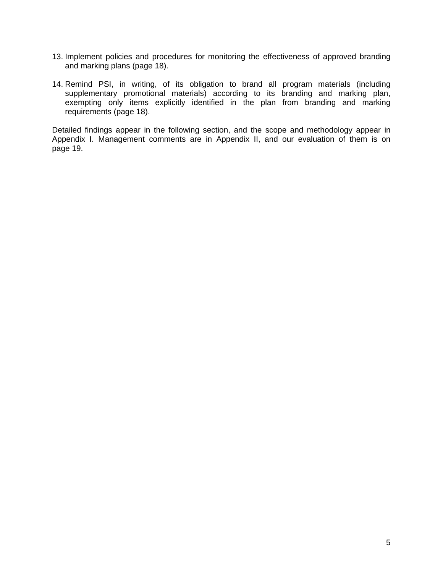- 13. Implement policies and procedures for monitoring the effectiveness of approved branding and marking plans (page 18).
- 14. Remind PSI, in writing, of its obligation to brand all program materials (including supplementary promotional materials) according to its branding and marking plan, exempting only items explicitly identified in the plan from branding and marking requirements (page 18).

Detailed findings appear in the following section, and the scope and methodology appear in Appendix I. Management comments are in Appendix II, and our evaluation of them is on page 19.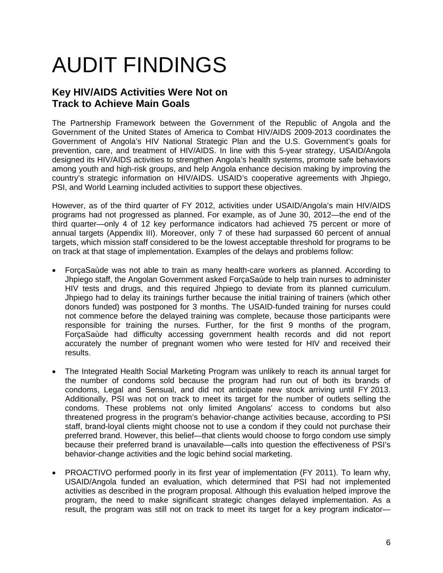# AUDIT FINDINGS

### **Key HIV/AIDS Activities Were Not on Track to Achieve Main Goals**

The Partnership Framework between the Government of the Republic of Angola and the Government of the United States of America to Combat HIV/AIDS 2009-2013 coordinates the Government of Angola's HIV National Strategic Plan and the U.S. Government's goals for prevention, care, and treatment of HIV/AIDS. In line with this 5-year strategy, USAID/Angola designed its HIV/AIDS activities to strengthen Angola's health systems, promote safe behaviors among youth and high-risk groups, and help Angola enhance decision making by improving the country's strategic information on HIV/AIDS. USAID's cooperative agreements with Jhpiego, PSI, and World Learning included activities to support these objectives.

However, as of the third quarter of FY 2012, activities under USAID/Angola's main HIV/AIDS programs had not progressed as planned. For example, as of June 30, 2012—the end of the third quarter—only 4 of 12 key performance indicators had achieved 75 percent or more of annual targets (Appendix III). Moreover, only 7 of these had surpassed 60 percent of annual targets, which mission staff considered to be the lowest acceptable threshold for programs to be on track at that stage of implementation. Examples of the delays and problems follow:

- ForçaSaùde was not able to train as many health-care workers as planned. According to Jhpiego staff, the Angolan Government asked ForçaSaùde to help train nurses to administer HIV tests and drugs, and this required Jhpiego to deviate from its planned curriculum. Jhpiego had to delay its trainings further because the initial training of trainers (which other donors funded) was postponed for 3 months. The USAID-funded training for nurses could not commence before the delayed training was complete, because those participants were responsible for training the nurses. Further, for the first 9 months of the program, ForçaSaùde had difficulty accessing government health records and did not report accurately the number of pregnant women who were tested for HIV and received their results.
- The Integrated Health Social Marketing Program was unlikely to reach its annual target for the number of condoms sold because the program had run out of both its brands of condoms, Legal and Sensual, and did not anticipate new stock arriving until FY 2013. Additionally, PSI was not on track to meet its target for the number of outlets selling the condoms. These problems not only limited Angolans' access to condoms but also threatened progress in the program's behavior-change activities because, according to PSI staff, brand-loyal clients might choose not to use a condom if they could not purchase their preferred brand. However, this belief—that clients would choose to forgo condom use simply because their preferred brand is unavailable—calls into question the effectiveness of PSI's behavior-change activities and the logic behind social marketing.
- PROACTIVO performed poorly in its first year of implementation (FY 2011). To learn why, USAID/Angola funded an evaluation, which determined that PSI had not implemented activities as described in the program proposal. Although this evaluation helped improve the program, the need to make significant strategic changes delayed implementation. As a result, the program was still not on track to meet its target for a key program indicator—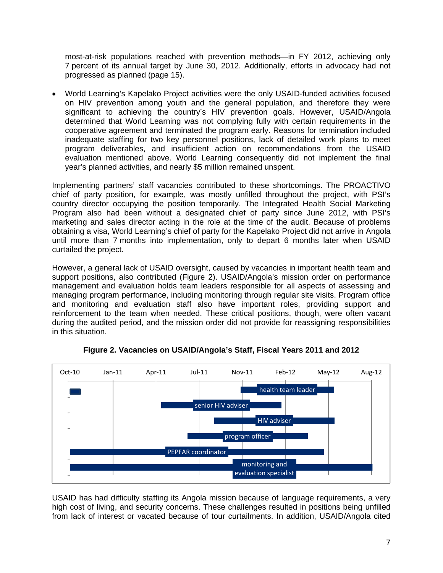most-at-risk populations reached with prevention methods—in FY 2012, achieving only 7 percent of its annual target by June 30, 2012. Additionally, efforts in advocacy had not progressed as planned (page 15).

 World Learning's Kapelako Project activities were the only USAID-funded activities focused on HIV prevention among youth and the general population, and therefore they were significant to achieving the country's HIV prevention goals. However, USAID/Angola determined that World Learning was not complying fully with certain requirements in the cooperative agreement and terminated the program early. Reasons for termination included inadequate staffing for two key personnel positions, lack of detailed work plans to meet program deliverables, and insufficient action on recommendations from the USAID evaluation mentioned above. World Learning consequently did not implement the final year's planned activities, and nearly \$5 million remained unspent.

Implementing partners' staff vacancies contributed to these shortcomings. The PROACTIVO chief of party position, for example, was mostly unfilled throughout the project, with PSI's country director occupying the position temporarily. The Integrated Health Social Marketing Program also had been without a designated chief of party since June 2012, with PSI's marketing and sales director acting in the role at the time of the audit. Because of problems obtaining a visa, World Learning's chief of party for the Kapelako Project did not arrive in Angola until more than 7 months into implementation, only to depart 6 months later when USAID curtailed the project.

However, a general lack of USAID oversight, caused by vacancies in important health team and support positions, also contributed (Figure 2). USAID/Angola's mission order on performance management and evaluation holds team leaders responsible for all aspects of assessing and managing program performance, including monitoring through regular site visits. Program office and monitoring and evaluation staff also have important roles, providing support and reinforcement to the team when needed. These critical positions, though, were often vacant during the audited period, and the mission order did not provide for reassigning responsibilities in this situation.



**Figure 2. Vacancies on USAID/Angola's Staff, Fiscal Years 2011 and 2012** 

USAID has had difficulty staffing its Angola mission because of language requirements, a very high cost of living, and security concerns. These challenges resulted in positions being unfilled from lack of interest or vacated because of tour curtailments. In addition, USAID/Angola cited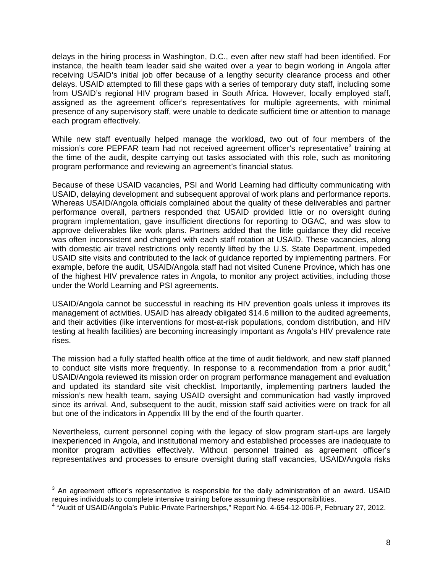delays in the hiring process in Washington, D.C., even after new staff had been identified. For instance, the health team leader said she waited over a year to begin working in Angola after receiving USAID's initial job offer because of a lengthy security clearance process and other delays. USAID attempted to fill these gaps with a series of temporary duty staff, including some from USAID's regional HIV program based in South Africa. However, locally employed staff, assigned as the agreement officer's representatives for multiple agreements, with minimal presence of any supervisory staff, were unable to dedicate sufficient time or attention to manage each program effectively.

While new staff eventually helped manage the workload, two out of four members of the mission's core PEPFAR team had not received agreement officer's representative<sup>3</sup> training at the time of the audit, despite carrying out tasks associated with this role, such as monitoring program performance and reviewing an agreement's financial status.

Because of these USAID vacancies, PSI and World Learning had difficulty communicating with USAID, delaying development and subsequent approval of work plans and performance reports. Whereas USAID/Angola officials complained about the quality of these deliverables and partner performance overall, partners responded that USAID provided little or no oversight during program implementation, gave insufficient directions for reporting to OGAC, and was slow to approve deliverables like work plans. Partners added that the little guidance they did receive was often inconsistent and changed with each staff rotation at USAID. These vacancies, along with domestic air travel restrictions only recently lifted by the U.S. State Department, impeded USAID site visits and contributed to the lack of guidance reported by implementing partners. For example, before the audit, USAID/Angola staff had not visited Cunene Province, which has one of the highest HIV prevalence rates in Angola, to monitor any project activities, including those under the World Learning and PSI agreements.

USAID/Angola cannot be successful in reaching its HIV prevention goals unless it improves its management of activities. USAID has already obligated \$14.6 million to the audited agreements, and their activities (like interventions for most-at-risk populations, condom distribution, and HIV testing at health facilities) are becoming increasingly important as Angola's HIV prevalence rate rises.

The mission had a fully staffed health office at the time of audit fieldwork, and new staff planned to conduct site visits more frequently. In response to a recommendation from a prior audit, $4$ USAID/Angola reviewed its mission order on program performance management and evaluation and updated its standard site visit checklist. Importantly, implementing partners lauded the mission's new health team, saying USAID oversight and communication had vastly improved since its arrival. And, subsequent to the audit, mission staff said activities were on track for all but one of the indicators in Appendix III by the end of the fourth quarter.

Nevertheless, current personnel coping with the legacy of slow program start-ups are largely inexperienced in Angola, and institutional memory and established processes are inadequate to monitor program activities effectively. Without personnel trained as agreement officer's representatives and processes to ensure oversight during staff vacancies, USAID/Angola risks

**ENET 2018**<br><sup>3</sup> An agreement officer's representative is responsible for the daily administration of an award. USAID requires individuals to complete intensive training before assuming these responsibilities.

<sup>4</sup> "Audit of USAID/Angola's Public-Private Partnerships," Report No. 4-654-12-006-P, February 27, 2012.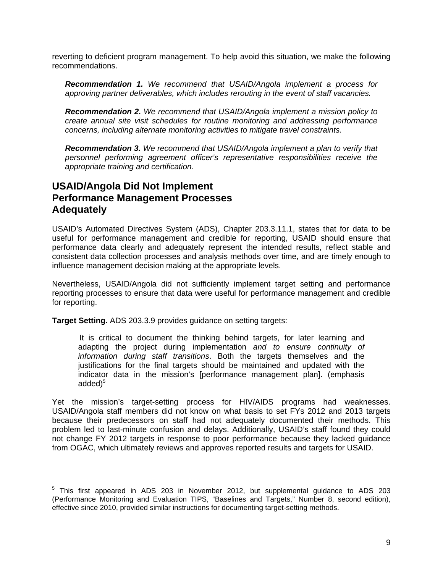reverting to deficient program management. To help avoid this situation, we make the following recommendations.

*Recommendation 1. We recommend that USAID/Angola implement a process for approving partner deliverables, which includes rerouting in the event of staff vacancies.* 

*Recommendation 2. We recommend that USAID/Angola implement a mission policy to create annual site visit schedules for routine monitoring and addressing performance concerns, including alternate monitoring activities to mitigate travel constraints.* 

*Recommendation 3. We recommend that USAID/Angola implement a plan to verify that personnel performing agreement officer's representative responsibilities receive the appropriate training and certification.* 

### **USAID/Angola Did Not Implement Performance Management Processes Adequately**

USAID's Automated Directives System (ADS), Chapter 203.3.11.1, states that for data to be useful for performance management and credible for reporting, USAID should ensure that performance data clearly and adequately represent the intended results, reflect stable and consistent data collection processes and analysis methods over time, and are timely enough to influence management decision making at the appropriate levels.

Nevertheless, USAID/Angola did not sufficiently implement target setting and performance reporting processes to ensure that data were useful for performance management and credible for reporting.

**Target Setting.** ADS 203.3.9 provides guidance on setting targets:

It is critical to document the thinking behind targets, for later learning and adapting the project during implementation *and to ensure continuity of information during staff transitions*. Both the targets themselves and the justifications for the final targets should be maintained and updated with the indicator data in the mission's [performance management plan]. (emphasis added $)^5$ 

Yet the mission's target-setting process for HIV/AIDS programs had weaknesses. USAID/Angola staff members did not know on what basis to set FYs 2012 and 2013 targets because their predecessors on staff had not adequately documented their methods. This problem led to last-minute confusion and delays. Additionally, USAID's staff found they could not change FY 2012 targets in response to poor performance because they lacked guidance from OGAC, which ultimately reviews and approves reported results and targets for USAID.

 5 This first appeared in ADS 203 in November 2012, but supplemental guidance to ADS 203 (Performance Monitoring and Evaluation TIPS, "Baselines and Targets," Number 8, second edition), effective since 2010, provided similar instructions for documenting target-setting methods.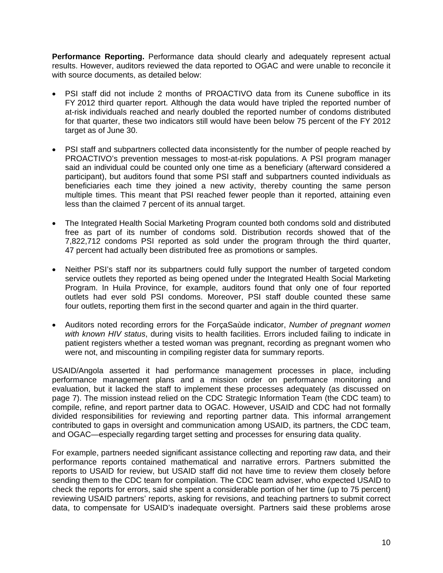**Performance Reporting.** Performance data should clearly and adequately represent actual results. However, auditors reviewed the data reported to OGAC and were unable to reconcile it with source documents, as detailed below:

- PSI staff did not include 2 months of PROACTIVO data from its Cunene suboffice in its FY 2012 third quarter report. Although the data would have tripled the reported number of at-risk individuals reached and nearly doubled the reported number of condoms distributed for that quarter, these two indicators still would have been below 75 percent of the FY 2012 target as of June 30.
- PSI staff and subpartners collected data inconsistently for the number of people reached by PROACTIVO's prevention messages to most-at-risk populations. A PSI program manager said an individual could be counted only one time as a beneficiary (afterward considered a participant), but auditors found that some PSI staff and subpartners counted individuals as beneficiaries each time they joined a new activity, thereby counting the same person multiple times. This meant that PSI reached fewer people than it reported, attaining even less than the claimed 7 percent of its annual target.
- The Integrated Health Social Marketing Program counted both condoms sold and distributed free as part of its number of condoms sold. Distribution records showed that of the 7,822,712 condoms PSI reported as sold under the program through the third quarter, 47 percent had actually been distributed free as promotions or samples.
- Neither PSI's staff nor its subpartners could fully support the number of targeted condom service outlets they reported as being opened under the Integrated Health Social Marketing Program. In Huila Province, for example, auditors found that only one of four reported outlets had ever sold PSI condoms. Moreover, PSI staff double counted these same four outlets, reporting them first in the second quarter and again in the third quarter.
- Auditors noted recording errors for the ForçaSaùde indicator, *Number of pregnant women with known HIV status*, during visits to health facilities. Errors included failing to indicate in patient registers whether a tested woman was pregnant, recording as pregnant women who were not, and miscounting in compiling register data for summary reports.

USAID/Angola asserted it had performance management processes in place, including performance management plans and a mission order on performance monitoring and evaluation, but it lacked the staff to implement these processes adequately (as discussed on page 7). The mission instead relied on the CDC Strategic Information Team (the CDC team) to compile, refine, and report partner data to OGAC. However, USAID and CDC had not formally divided responsibilities for reviewing and reporting partner data. This informal arrangement contributed to gaps in oversight and communication among USAID, its partners, the CDC team, and OGAC—especially regarding target setting and processes for ensuring data quality.

For example, partners needed significant assistance collecting and reporting raw data, and their performance reports contained mathematical and narrative errors. Partners submitted the reports to USAID for review, but USAID staff did not have time to review them closely before sending them to the CDC team for compilation. The CDC team adviser, who expected USAID to check the reports for errors, said she spent a considerable portion of her time (up to 75 percent) reviewing USAID partners' reports, asking for revisions, and teaching partners to submit correct data, to compensate for USAID's inadequate oversight. Partners said these problems arose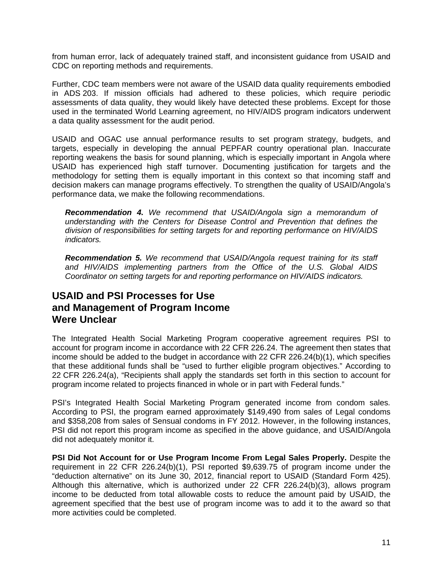from human error, lack of adequately trained staff, and inconsistent guidance from USAID and CDC on reporting methods and requirements.

Further, CDC team members were not aware of the USAID data quality requirements embodied in ADS 203. If mission officials had adhered to these policies, which require periodic assessments of data quality, they would likely have detected these problems. Except for those used in the terminated World Learning agreement, no HIV/AIDS program indicators underwent a data quality assessment for the audit period.

USAID and OGAC use annual performance results to set program strategy, budgets, and targets, especially in developing the annual PEPFAR country operational plan. Inaccurate reporting weakens the basis for sound planning, which is especially important in Angola where USAID has experienced high staff turnover. Documenting justification for targets and the methodology for setting them is equally important in this context so that incoming staff and decision makers can manage programs effectively. To strengthen the quality of USAID/Angola's performance data, we make the following recommendations.

*Recommendation 4. We recommend that USAID/Angola sign a memorandum of understanding with the Centers for Disease Control and Prevention that defines the division of responsibilities for setting targets for and reporting performance on HIV/AIDS indicators.* 

*Recommendation 5. We recommend that USAID/Angola request training for its staff and HIV/AIDS implementing partners from the Office of the U.S. Global AIDS Coordinator on setting targets for and reporting performance on HIV/AIDS indicators.* 

### **USAID and PSI Processes for Use and Management of Program Income Were Unclear**

The Integrated Health Social Marketing Program cooperative agreement requires PSI to account for program income in accordance with 22 CFR 226.24. The agreement then states that income should be added to the budget in accordance with 22 CFR 226.24(b)(1), which specifies that these additional funds shall be "used to further eligible program objectives." According to 22 CFR 226.24(a), "Recipients shall apply the standards set forth in this section to account for program income related to projects financed in whole or in part with Federal funds."

PSI's Integrated Health Social Marketing Program generated income from condom sales*.*  According to PSI, the program earned approximately \$149,490 from sales of Legal condoms and \$358,208 from sales of Sensual condoms in FY 2012. However, in the following instances, PSI did not report this program income as specified in the above guidance, and USAID/Angola did not adequately monitor it.

**PSI Did Not Account for or Use Program Income From Legal Sales Properly.** Despite the requirement in 22 CFR 226.24(b)(1), PSI reported \$9,639.75 of program income under the "deduction alternative" on its June 30, 2012, financial report to USAID (Standard Form 425). Although this alternative, which is authorized under 22 CFR 226.24(b)(3), allows program income to be deducted from total allowable costs to reduce the amount paid by USAID, the agreement specified that the best use of program income was to add it to the award so that more activities could be completed.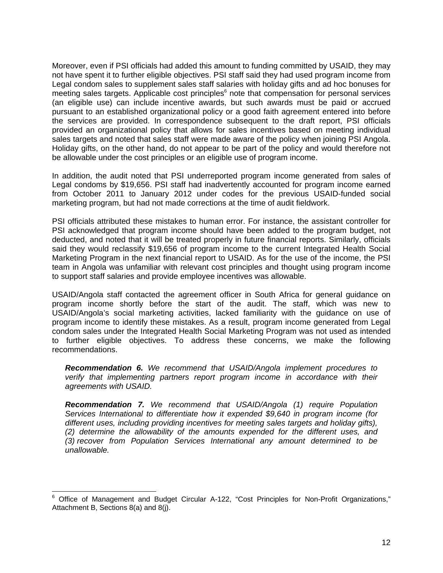Moreover, even if PSI officials had added this amount to funding committed by USAID, they may not have spent it to further eligible objectives. PSI staff said they had used program income from Legal condom sales to supplement sales staff salaries with holiday gifts and ad hoc bonuses for meeting sales targets. Applicable cost principles<sup>6</sup> note that compensation for personal services (an eligible use) can include incentive awards, but such awards must be paid or accrued pursuant to an established organizational policy or a good faith agreement entered into before the services are provided. In correspondence subsequent to the draft report, PSI officials provided an organizational policy that allows for sales incentives based on meeting individual sales targets and noted that sales staff were made aware of the policy when joining PSI Angola. Holiday gifts, on the other hand, do not appear to be part of the policy and would therefore not be allowable under the cost principles or an eligible use of program income.

In addition, the audit noted that PSI underreported program income generated from sales of Legal condoms by \$19,656. PSI staff had inadvertently accounted for program income earned from October 2011 to January 2012 under codes for the previous USAID-funded social marketing program, but had not made corrections at the time of audit fieldwork.

PSI officials attributed these mistakes to human error. For instance, the assistant controller for PSI acknowledged that program income should have been added to the program budget, not deducted, and noted that it will be treated properly in future financial reports. Similarly, officials said they would reclassify \$19,656 of program income to the current Integrated Health Social Marketing Program in the next financial report to USAID. As for the use of the income, the PSI team in Angola was unfamiliar with relevant cost principles and thought using program income to support staff salaries and provide employee incentives was allowable.

USAID/Angola staff contacted the agreement officer in South Africa for general guidance on program income shortly before the start of the audit. The staff, which was new to USAID/Angola's social marketing activities, lacked familiarity with the guidance on use of program income to identify these mistakes. As a result, program income generated from Legal condom sales under the Integrated Health Social Marketing Program was not used as intended to further eligible objectives. To address these concerns, we make the following recommendations.

*Recommendation 6. We recommend that USAID/Angola implement procedures to verify that implementing partners report program income in accordance with their agreements with USAID.* 

*Recommendation 7. We recommend that USAID/Angola (1) require Population Services International to differentiate how it expended \$9,640 in program income (for different uses, including providing incentives for meeting sales targets and holiday gifts), (2) determine the allowability of the amounts expended for the different uses, and (3) recover from Population Services International any amount determined to be unallowable.* 

 $\overline{\phantom{a}}$ 

 $6$  Office of Management and Budget Circular A-122, "Cost Principles for Non-Profit Organizations," Attachment B, Sections 8(a) and 8(j).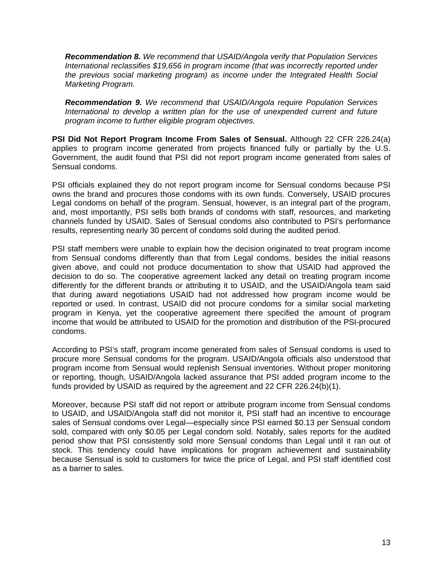*Recommendation 8. We recommend that USAID/Angola verify that Population Services International reclassifies \$19,656 in program income (that was incorrectly reported under the previous social marketing program) as income under the Integrated Health Social Marketing Program.* 

*Recommendation 9. We recommend that USAID/Angola require Population Services International to develop a written plan for the use of unexpended current and future program income to further eligible program objectives.* 

**PSI Did Not Report Program Income From Sales of Sensual.** Although 22 CFR 226.24(a) applies to program income generated from projects financed fully or partially by the U.S. Government, the audit found that PSI did not report program income generated from sales of Sensual condoms.

PSI officials explained they do not report program income for Sensual condoms because PSI owns the brand and procures those condoms with its own funds. Conversely, USAID procures Legal condoms on behalf of the program. Sensual, however, is an integral part of the program, and, most importantly, PSI sells both brands of condoms with staff, resources, and marketing channels funded by USAID. Sales of Sensual condoms also contributed to PSI's performance results, representing nearly 30 percent of condoms sold during the audited period.

PSI staff members were unable to explain how the decision originated to treat program income from Sensual condoms differently than that from Legal condoms, besides the initial reasons given above, and could not produce documentation to show that USAID had approved the decision to do so. The cooperative agreement lacked any detail on treating program income differently for the different brands or attributing it to USAID, and the USAID/Angola team said that during award negotiations USAID had not addressed how program income would be reported or used. In contrast, USAID did not procure condoms for a similar social marketing program in Kenya, yet the cooperative agreement there specified the amount of program income that would be attributed to USAID for the promotion and distribution of the PSI-procured condoms.

According to PSI's staff, program income generated from sales of Sensual condoms is used to procure more Sensual condoms for the program. USAID/Angola officials also understood that program income from Sensual would replenish Sensual inventories. Without proper monitoring or reporting, though, USAID/Angola lacked assurance that PSI added program income to the funds provided by USAID as required by the agreement and 22 CFR 226.24(b)(1).

Moreover, because PSI staff did not report or attribute program income from Sensual condoms to USAID, and USAID/Angola staff did not monitor it, PSI staff had an incentive to encourage sales of Sensual condoms over Legal—especially since PSI earned \$0.13 per Sensual condom sold, compared with only \$0.05 per Legal condom sold. Notably, sales reports for the audited period show that PSI consistently sold more Sensual condoms than Legal until it ran out of stock. This tendency could have implications for program achievement and sustainability because Sensual is sold to customers for twice the price of Legal, and PSI staff identified cost as a barrier to sales.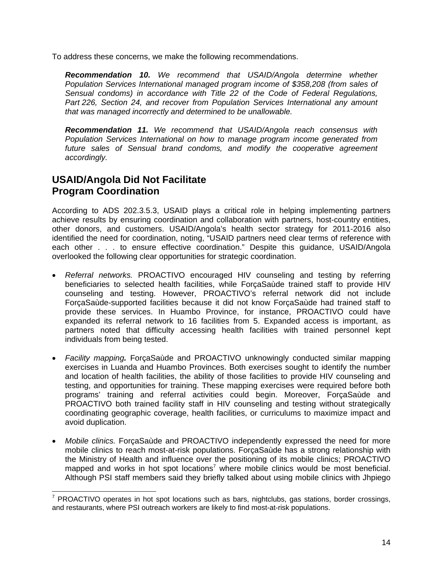To address these concerns, we make the following recommendations.

*Recommendation 10. We recommend that USAID/Angola determine whether Population Services International managed program income of \$358,208 (from sales of Sensual condoms) in accordance with Title 22 of the Code of Federal Regulations, Part 226, Section 24, and recover from Population Services International any amount that was managed incorrectly and determined to be unallowable.* 

*Recommendation 11. We recommend that USAID/Angola reach consensus with Population Services International on how to manage program income generated from*  future sales of Sensual brand condoms, and modify the cooperative agreement *accordingly.* 

### **USAID/Angola Did Not Facilitate Program Coordination**

According to ADS 202.3.5.3, USAID plays a critical role in helping implementing partners achieve results by ensuring coordination and collaboration with partners, host-country entities, other donors, and customers. USAID/Angola's health sector strategy for 2011-2016 also identified the need for coordination, noting, "USAID partners need clear terms of reference with each other . . . to ensure effective coordination." Despite this guidance, USAID/Angola overlooked the following clear opportunities for strategic coordination.

- *Referral networks.* PROACTIVO encouraged HIV counseling and testing by referring beneficiaries to selected health facilities, while ForçaSaùde trained staff to provide HIV counseling and testing. However, PROACTIVO's referral network did not include ForçaSaùde-supported facilities because it did not know ForçaSaùde had trained staff to provide these services. In Huambo Province, for instance, PROACTIVO could have expanded its referral network to 16 facilities from 5. Expanded access is important, as partners noted that difficulty accessing health facilities with trained personnel kept individuals from being tested.
- *Facility mapping.* ForçaSaùde and PROACTIVO unknowingly conducted similar mapping exercises in Luanda and Huambo Provinces. Both exercises sought to identify the number and location of health facilities, the ability of those facilities to provide HIV counseling and testing, and opportunities for training. These mapping exercises were required before both programs' training and referral activities could begin. Moreover, ForçaSaùde and PROACTIVO both trained facility staff in HIV counseling and testing without strategically coordinating geographic coverage, health facilities, or curriculums to maximize impact and avoid duplication.
- *Mobile clinics.* ForçaSaùde and PROACTIVO independently expressed the need for more mobile clinics to reach most-at-risk populations. ForçaSaùde has a strong relationship with the Ministry of Health and influence over the positioning of its mobile clinics; PROACTIVO mapped and works in hot spot locations<sup>7</sup> where mobile clinics would be most beneficial. Although PSI staff members said they briefly talked about using mobile clinics with Jhpiego

**ENECTIVE CONCO CONCO CONCO CONCO CONCO CONCO CONCO CONCO CONCO CONCO CONCO CONCO CONCO CONCO CONCO CONCO CONCO**<br><sup>7</sup> PROACTIVO operates in hot spot locations such as bars, nightclubs, gas stations, border crossings, and restaurants, where PSI outreach workers are likely to find most-at-risk populations.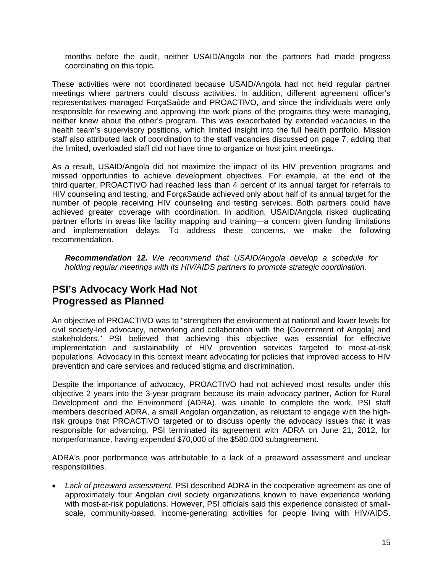months before the audit, neither USAID/Angola nor the partners had made progress coordinating on this topic.

These activities were not coordinated because USAID/Angola had not held regular partner meetings where partners could discuss activities. In addition, different agreement officer's representatives managed ForçaSaùde and PROACTIVO, and since the individuals were only responsible for reviewing and approving the work plans of the programs they were managing, neither knew about the other's program. This was exacerbated by extended vacancies in the health team's supervisory positions, which limited insight into the full health portfolio. Mission staff also attributed lack of coordination to the staff vacancies discussed on page 7, adding that the limited, overloaded staff did not have time to organize or host joint meetings.

As a result, USAID/Angola did not maximize the impact of its HIV prevention programs and missed opportunities to achieve development objectives. For example, at the end of the third quarter, PROACTIVO had reached less than 4 percent of its annual target for referrals to HIV counseling and testing, and ForçaSaùde achieved only about half of its annual target for the number of people receiving HIV counseling and testing services. Both partners could have achieved greater coverage with coordination. In addition, USAID/Angola risked duplicating partner efforts in areas like facility mapping and training—a concern given funding limitations and implementation delays. To address these concerns, we make the following recommendation.

*Recommendation 12. We recommend that USAID/Angola develop a schedule for holding regular meetings with its HIV/AIDS partners to promote strategic coordination.* 

### **PSI's Advocacy Work Had Not Progressed as Planned**

An objective of PROACTIVO was to "strengthen the environment at national and lower levels for civil society-led advocacy, networking and collaboration with the [Government of Angola] and stakeholders." PSI believed that achieving this objective was essential for effective implementation and sustainability of HIV prevention services targeted to most-at-risk populations. Advocacy in this context meant advocating for policies that improved access to HIV prevention and care services and reduced stigma and discrimination.

Despite the importance of advocacy, PROACTIVO had not achieved most results under this objective 2 years into the 3-year program because its main advocacy partner, Action for Rural Development and the Environment (ADRA), was unable to complete the work. PSI staff members described ADRA, a small Angolan organization, as reluctant to engage with the highrisk groups that PROACTIVO targeted or to discuss openly the advocacy issues that it was responsible for advancing. PSI terminated its agreement with ADRA on June 21, 2012, for nonperformance, having expended \$70,000 of the \$580,000 subagreement.

ADRA's poor performance was attributable to a lack of a preaward assessment and unclear responsibilities.

 *Lack of preaward assessment.* PSI described ADRA in the cooperative agreement as one of approximately four Angolan civil society organizations known to have experience working with most-at-risk populations. However, PSI officials said this experience consisted of smallscale, community-based, income-generating activities for people living with HIV/AIDS.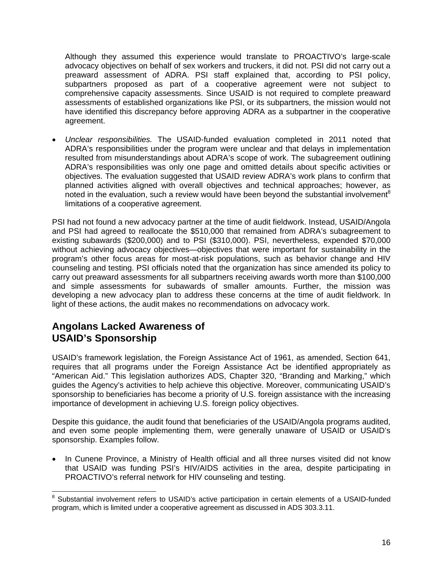Although they assumed this experience would translate to PROACTIVO's large-scale advocacy objectives on behalf of sex workers and truckers, it did not. PSI did not carry out a preaward assessment of ADRA. PSI staff explained that, according to PSI policy, subpartners proposed as part of a cooperative agreement were not subject to comprehensive capacity assessments. Since USAID is not required to complete preaward assessments of established organizations like PSI, or its subpartners, the mission would not have identified this discrepancy before approving ADRA as a subpartner in the cooperative agreement.

 *Unclear responsibilities.* The USAID-funded evaluation completed in 2011 noted that ADRA's responsibilities under the program were unclear and that delays in implementation resulted from misunderstandings about ADRA's scope of work. The subagreement outlining ADRA's responsibilities was only one page and omitted details about specific activities or objectives. The evaluation suggested that USAID review ADRA's work plans to confirm that planned activities aligned with overall objectives and technical approaches; however, as noted in the evaluation, such a review would have been beyond the substantial involvement<sup>8</sup> limitations of a cooperative agreement.

PSI had not found a new advocacy partner at the time of audit fieldwork. Instead, USAID/Angola and PSI had agreed to reallocate the \$510,000 that remained from ADRA's subagreement to existing subawards (\$200,000) and to PSI (\$310,000). PSI, nevertheless, expended \$70,000 without achieving advocacy objectives—objectives that were important for sustainability in the program's other focus areas for most-at-risk populations, such as behavior change and HIV counseling and testing. PSI officials noted that the organization has since amended its policy to carry out preaward assessments for all subpartners receiving awards worth more than \$100,000 and simple assessments for subawards of smaller amounts. Further, the mission was developing a new advocacy plan to address these concerns at the time of audit fieldwork. In light of these actions, the audit makes no recommendations on advocacy work.

### **Angolans Lacked Awareness of USAID's Sponsorship**

USAID's framework legislation, the Foreign Assistance Act of 1961, as amended, Section 641, requires that all programs under the Foreign Assistance Act be identified appropriately as "American Aid." This legislation authorizes ADS, Chapter 320, "Branding and Marking," which guides the Agency's activities to help achieve this objective. Moreover, communicating USAID's sponsorship to beneficiaries has become a priority of U.S. foreign assistance with the increasing importance of development in achieving U.S. foreign policy objectives.

Despite this guidance, the audit found that beneficiaries of the USAID/Angola programs audited, and even some people implementing them, were generally unaware of USAID or USAID's sponsorship. Examples follow.

 In Cunene Province, a Ministry of Health official and all three nurses visited did not know that USAID was funding PSI's HIV/AIDS activities in the area, despite participating in PROACTIVO's referral network for HIV counseling and testing.

 8 Substantial involvement refers to USAID's active participation in certain elements of a USAID-funded program, which is limited under a cooperative agreement as discussed in ADS 303.3.11.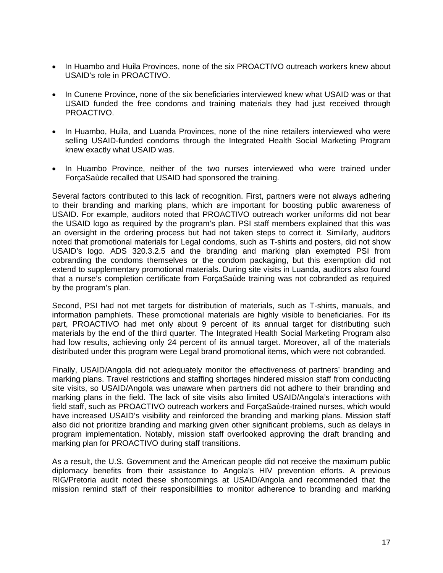- In Huambo and Huila Provinces, none of the six PROACTIVO outreach workers knew about USAID's role in PROACTIVO.
- In Cunene Province, none of the six beneficiaries interviewed knew what USAID was or that USAID funded the free condoms and training materials they had just received through PROACTIVO.
- In Huambo, Huila, and Luanda Provinces, none of the nine retailers interviewed who were selling USAID-funded condoms through the Integrated Health Social Marketing Program knew exactly what USAID was.
- In Huambo Province, neither of the two nurses interviewed who were trained under ForçaSaùde recalled that USAID had sponsored the training.

Several factors contributed to this lack of recognition. First, partners were not always adhering to their branding and marking plans, which are important for boosting public awareness of USAID. For example, auditors noted that PROACTIVO outreach worker uniforms did not bear the USAID logo as required by the program's plan. PSI staff members explained that this was an oversight in the ordering process but had not taken steps to correct it. Similarly, auditors noted that promotional materials for Legal condoms, such as T-shirts and posters, did not show USAID's logo. ADS 320.3.2.5 and the branding and marking plan exempted PSI from cobranding the condoms themselves or the condom packaging, but this exemption did not extend to supplementary promotional materials. During site visits in Luanda, auditors also found that a nurse's completion certificate from ForçaSaùde training was not cobranded as required by the program's plan.

Second, PSI had not met targets for distribution of materials, such as T-shirts, manuals, and information pamphlets. These promotional materials are highly visible to beneficiaries. For its part, PROACTIVO had met only about 9 percent of its annual target for distributing such materials by the end of the third quarter. The Integrated Health Social Marketing Program also had low results, achieving only 24 percent of its annual target. Moreover, all of the materials distributed under this program were Legal brand promotional items, which were not cobranded.

Finally, USAID/Angola did not adequately monitor the effectiveness of partners' branding and marking plans. Travel restrictions and staffing shortages hindered mission staff from conducting site visits, so USAID/Angola was unaware when partners did not adhere to their branding and marking plans in the field. The lack of site visits also limited USAID/Angola's interactions with field staff, such as PROACTIVO outreach workers and ForçaSaùde-trained nurses, which would have increased USAID's visibility and reinforced the branding and marking plans. Mission staff also did not prioritize branding and marking given other significant problems, such as delays in program implementation. Notably, mission staff overlooked approving the draft branding and marking plan for PROACTIVO during staff transitions.

As a result, the U.S. Government and the American people did not receive the maximum public diplomacy benefits from their assistance to Angola's HIV prevention efforts. A previous RIG/Pretoria audit noted these shortcomings at USAID/Angola and recommended that the mission remind staff of their responsibilities to monitor adherence to branding and marking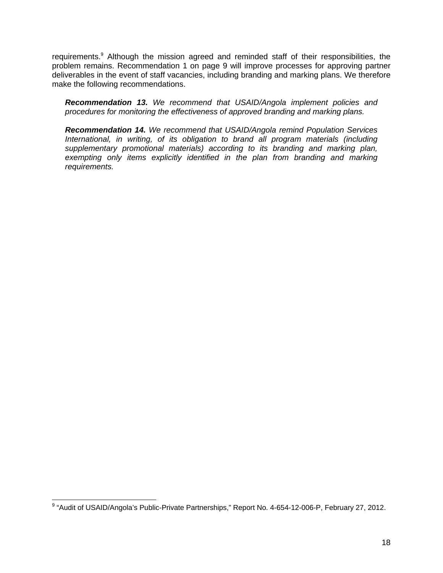requirements.<sup>9</sup> Although the mission agreed and reminded staff of their responsibilities, the problem remains. Recommendation 1 on page 9 will improve processes for approving partner deliverables in the event of staff vacancies, including branding and marking plans. We therefore make the following recommendations.

*Recommendation 13. We recommend that USAID/Angola implement policies and procedures for monitoring the effectiveness of approved branding and marking plans.* 

*Recommendation 14. We recommend that USAID/Angola remind Population Services International, in writing, of its obligation to brand all program materials (including supplementary promotional materials) according to its branding and marking plan,*  exempting only items explicitly identified in the plan from branding and marking *requirements.* 

 9 "Audit of USAID/Angola's Public-Private Partnerships," Report No. 4-654-12-006-P, February 27, 2012.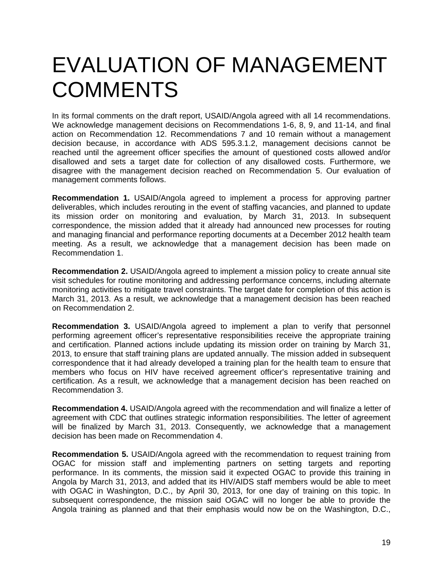## EVALUATION OF MANAGEMENT **COMMENTS**

In its formal comments on the draft report, USAID/Angola agreed with all 14 recommendations. We acknowledge management decisions on Recommendations 1-6, 8, 9, and 11-14, and final action on Recommendation 12. Recommendations 7 and 10 remain without a management decision because, in accordance with ADS 595.3.1.2, management decisions cannot be reached until the agreement officer specifies the amount of questioned costs allowed and/or disallowed and sets a target date for collection of any disallowed costs. Furthermore, we disagree with the management decision reached on Recommendation 5. Our evaluation of management comments follows.

**Recommendation 1.** USAID/Angola agreed to implement a process for approving partner deliverables, which includes rerouting in the event of staffing vacancies, and planned to update its mission order on monitoring and evaluation, by March 31, 2013. In subsequent correspondence, the mission added that it already had announced new processes for routing and managing financial and performance reporting documents at a December 2012 health team meeting. As a result, we acknowledge that a management decision has been made on Recommendation 1.

 **Recommendation 2.** USAID/Angola agreed to implement a mission policy to create annual site visit schedules for routine monitoring and addressing performance concerns, including alternate monitoring activities to mitigate travel constraints. The target date for completion of this action is March 31, 2013. As a result, we acknowledge that a management decision has been reached on Recommendation 2.

**Recommendation 3.** USAID/Angola agreed to implement a plan to verify that personnel performing agreement officer's representative responsibilities receive the appropriate training and certification. Planned actions include updating its mission order on training by March 31, 2013, to ensure that staff training plans are updated annually. The mission added in subsequent correspondence that it had already developed a training plan for the health team to ensure that members who focus on HIV have received agreement officer's representative training and certification. As a result, we acknowledge that a management decision has been reached on Recommendation 3.

**Recommendation 4.** USAID/Angola agreed with the recommendation and will finalize a letter of agreement with CDC that outlines strategic information responsibilities. The letter of agreement will be finalized by March 31, 2013. Consequently, we acknowledge that a management decision has been made on Recommendation 4.

**Recommendation 5.** USAID/Angola agreed with the recommendation to request training from OGAC for mission staff and implementing partners on setting targets and reporting performance. In its comments, the mission said it expected OGAC to provide this training in Angola by March 31, 2013, and added that its HIV/AIDS staff members would be able to meet with OGAC in Washington, D.C., by April 30, 2013, for one day of training on this topic. In subsequent correspondence, the mission said OGAC will no longer be able to provide the Angola training as planned and that their emphasis would now be on the Washington, D.C.,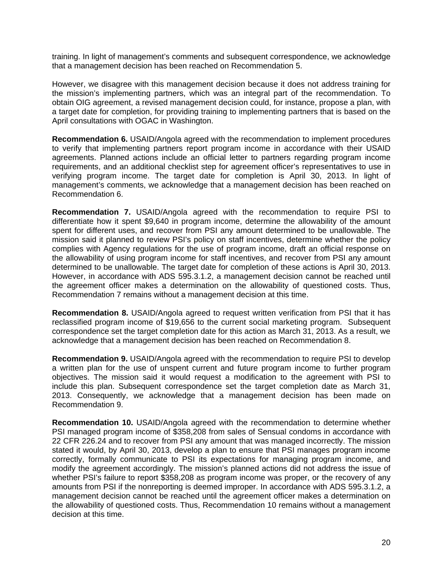training. In light of management's comments and subsequent correspondence, we acknowledge that a management decision has been reached on Recommendation 5.

However, we disagree with this management decision because it does not address training for the mission's implementing partners, which was an integral part of the recommendation. To obtain OIG agreement, a revised management decision could, for instance, propose a plan, with a target date for completion, for providing training to implementing partners that is based on the April consultations with OGAC in Washington.

**Recommendation 6.** USAID/Angola agreed with the recommendation to implement procedures to verify that implementing partners report program income in accordance with their USAID agreements. Planned actions include an official letter to partners regarding program income requirements, and an additional checklist step for agreement officer's representatives to use in verifying program income. The target date for completion is April 30, 2013. In light of management's comments, we acknowledge that a management decision has been reached on Recommendation 6.

**Recommendation 7.** USAID/Angola agreed with the recommendation to require PSI to differentiate how it spent \$9,640 in program income, determine the allowability of the amount spent for different uses, and recover from PSI any amount determined to be unallowable. The mission said it planned to review PSI's policy on staff incentives, determine whether the policy complies with Agency regulations for the use of program income, draft an official response on the allowability of using program income for staff incentives, and recover from PSI any amount determined to be unallowable. The target date for completion of these actions is April 30, 2013. However, in accordance with ADS 595.3.1.2, a management decision cannot be reached until the agreement officer makes a determination on the allowability of questioned costs. Thus, Recommendation 7 remains without a management decision at this time.

**Recommendation 8.** USAID/Angola agreed to request written verification from PSI that it has reclassified program income of \$19,656 to the current social marketing program. Subsequent correspondence set the target completion date for this action as March 31, 2013. As a result, we acknowledge that a management decision has been reached on Recommendation 8.

**Recommendation 9.** USAID/Angola agreed with the recommendation to require PSI to develop a written plan for the use of unspent current and future program income to further program objectives. The mission said it would request a modification to the agreement with PSI to include this plan. Subsequent correspondence set the target completion date as March 31, 2013. Consequently, we acknowledge that a management decision has been made on Recommendation 9.

**Recommendation 10.** USAID/Angola agreed with the recommendation to determine whether PSI managed program income of \$358,208 from sales of Sensual condoms in accordance with 22 CFR 226.24 and to recover from PSI any amount that was managed incorrectly. The mission stated it would, by April 30, 2013, develop a plan to ensure that PSI manages program income correctly, formally communicate to PSI its expectations for managing program income, and modify the agreement accordingly. The mission's planned actions did not address the issue of whether PSI's failure to report \$358,208 as program income was proper, or the recovery of any amounts from PSI if the nonreporting is deemed improper. In accordance with ADS 595.3.1.2, a management decision cannot be reached until the agreement officer makes a determination on the allowability of questioned costs. Thus, Recommendation 10 remains without a management decision at this time.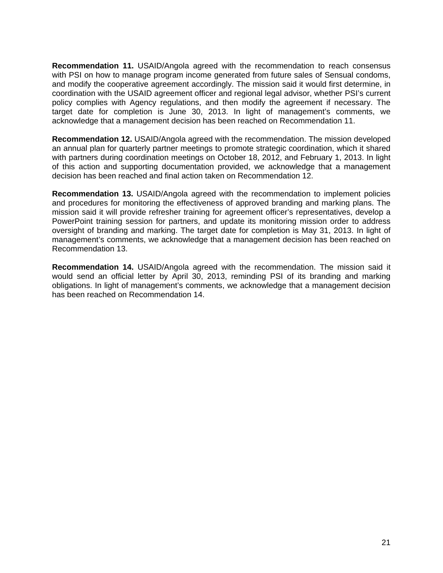**Recommendation 11.** USAID/Angola agreed with the recommendation to reach consensus with PSI on how to manage program income generated from future sales of Sensual condoms, and modify the cooperative agreement accordingly. The mission said it would first determine, in coordination with the USAID agreement officer and regional legal advisor, whether PSI's current policy complies with Agency regulations, and then modify the agreement if necessary. The target date for completion is June 30, 2013. In light of management's comments, we acknowledge that a management decision has been reached on Recommendation 11.

**Recommendation 12.** USAID/Angola agreed with the recommendation. The mission developed an annual plan for quarterly partner meetings to promote strategic coordination, which it shared with partners during coordination meetings on October 18, 2012, and February 1, 2013. In light of this action and supporting documentation provided, we acknowledge that a management decision has been reached and final action taken on Recommendation 12.

**Recommendation 13.** USAID/Angola agreed with the recommendation to implement policies and procedures for monitoring the effectiveness of approved branding and marking plans. The mission said it will provide refresher training for agreement officer's representatives, develop a PowerPoint training session for partners, and update its monitoring mission order to address oversight of branding and marking. The target date for completion is May 31, 2013. In light of management's comments, we acknowledge that a management decision has been reached on Recommendation 13.

**Recommendation 14.** USAID/Angola agreed with the recommendation. The mission said it would send an official letter by April 30, 2013, reminding PSI of its branding and marking obligations. In light of management's comments, we acknowledge that a management decision has been reached on Recommendation 14.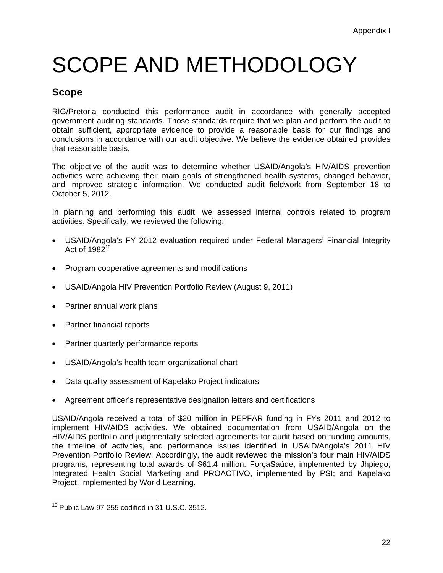# SCOPE AND METHODOLOGY

### **Scope**

RIG/Pretoria conducted this performance audit in accordance with generally accepted government auditing standards. Those standards require that we plan and perform the audit to obtain sufficient, appropriate evidence to provide a reasonable basis for our findings and conclusions in accordance with our audit objective. We believe the evidence obtained provides that reasonable basis.

The objective of the audit was to determine whether USAID/Angola's HIV/AIDS prevention activities were achieving their main goals of strengthened health systems, changed behavior, and improved strategic information. We conducted audit fieldwork from September 18 to October 5, 2012.

In planning and performing this audit, we assessed internal controls related to program activities. Specifically, we reviewed the following:

- USAID/Angola's FY 2012 evaluation required under Federal Managers' Financial Integrity Act of  $1982^{10}$
- Program cooperative agreements and modifications
- USAID/Angola HIV Prevention Portfolio Review (August 9, 2011)
- Partner annual work plans
- Partner financial reports
- Partner quarterly performance reports
- USAID/Angola's health team organizational chart
- Data quality assessment of Kapelako Project indicators
- Agreement officer's representative designation letters and certifications

USAID/Angola received a total of \$20 million in PEPFAR funding in FYs 2011 and 2012 to implement HIV/AIDS activities. We obtained documentation from USAID/Angola on the HIV/AIDS portfolio and judgmentally selected agreements for audit based on funding amounts, the timeline of activities, and performance issues identified in USAID/Angola's 2011 HIV Prevention Portfolio Review. Accordingly, the audit reviewed the mission's four main HIV/AIDS programs, representing total awards of \$61.4 million: ForçaSaùde, implemented by Jhpiego; Integrated Health Social Marketing and PROACTIVO, implemented by PSI; and Kapelako Project, implemented by World Learning.

<sup>-</sup> $10$  Public Law 97-255 codified in 31 U.S.C. 3512.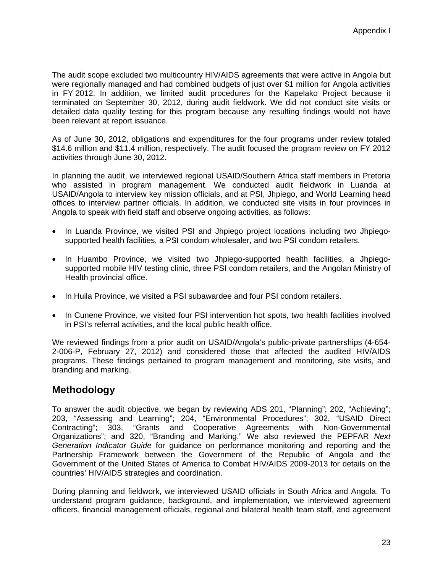The audit scope excluded two multicountry HIV/AIDS agreements that were active in Angola but were regionally managed and had combined budgets of just over \$1 million for Angola activities in FY 2012. In addition, we limited audit procedures for the Kapelako Project because it terminated on September 30, 2012, during audit fieldwork. We did not conduct site visits or detailed data quality testing for this program because any resulting findings would not have been relevant at report issuance.

As of June 30, 2012, obligations and expenditures for the four programs under review totaled \$14.6 million and \$11.4 million, respectively. The audit focused the program review on FY 2012 activities through June 30, 2012.

In planning the audit, we interviewed regional USAID/Southern Africa staff members in Pretoria who assisted in program management. We conducted audit fieldwork in Luanda at USAID/Angola to interview key mission officials, and at PSI, Jhpiego, and World Learning head offices to interview partner officials. In addition, we conducted site visits in four provinces in Angola to speak with field staff and observe ongoing activities, as follows:

- In Luanda Province, we visited PSI and Jhpiego project locations including two Jhpiegosupported health facilities, a PSI condom wholesaler, and two PSI condom retailers.
- In Huambo Province, we visited two Jhpiego-supported health facilities, a Jhpiegosupported mobile HIV testing clinic, three PSI condom retailers, and the Angolan Ministry of Health provincial office.
- In Huila Province, we visited a PSI subawardee and four PSI condom retailers.
- In Cunene Province, we visited four PSI intervention hot spots, two health facilities involved in PSI's referral activities, and the local public health office.

We reviewed findings from a prior audit on USAID/Angola's public-private partnerships (4-654 2-006-P, February 27, 2012) and considered those that affected the audited HIV/AIDS programs. These findings pertained to program management and monitoring, site visits, and branding and marking.

#### **Methodology**

To answer the audit objective, we began by reviewing ADS 201, "Planning"; 202, "Achieving"; 203, "Assessing and Learning"; 204, "Environmental Procedures"; 302, "USAID Direct Contracting"; 303, "Grants and Cooperative Agreements with Non-Governmental Organizations"; and 320, "Branding and Marking." We also reviewed the PEPFAR *Next Generation Indicator Guide* for guidance on performance monitoring and reporting and the Partnership Framework between the Government of the Republic of Angola and the Government of the United States of America to Combat HIV/AIDS 2009-2013 for details on the countries' HIV/AIDS strategies and coordination.

During planning and fieldwork, we interviewed USAID officials in South Africa and Angola. To understand program guidance, background, and implementation, we interviewed agreement officers, financial management officials, regional and bilateral health team staff, and agreement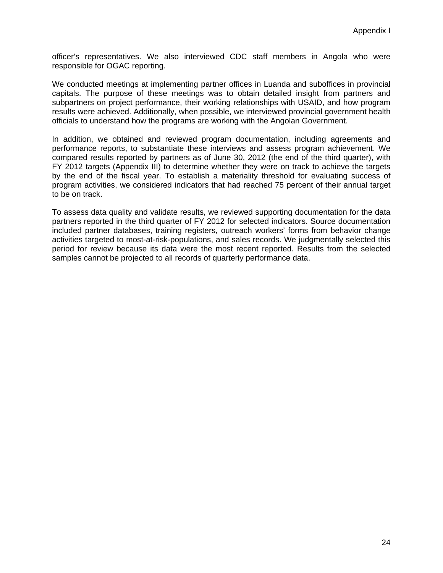officer's representatives. We also interviewed CDC staff members in Angola who were responsible for OGAC reporting.

We conducted meetings at implementing partner offices in Luanda and suboffices in provincial capitals. The purpose of these meetings was to obtain detailed insight from partners and subpartners on project performance, their working relationships with USAID, and how program results were achieved. Additionally, when possible, we interviewed provincial government health officials to understand how the programs are working with the Angolan Government.

In addition, we obtained and reviewed program documentation, including agreements and performance reports, to substantiate these interviews and assess program achievement. We compared results reported by partners as of June 30, 2012 (the end of the third quarter), with FY 2012 targets (Appendix III) to determine whether they were on track to achieve the targets by the end of the fiscal year. To establish a materiality threshold for evaluating success of program activities, we considered indicators that had reached 75 percent of their annual target to be on track.

To assess data quality and validate results, we reviewed supporting documentation for the data partners reported in the third quarter of FY 2012 for selected indicators. Source documentation included partner databases, training registers, outreach workers' forms from behavior change activities targeted to most-at-risk-populations, and sales records. We judgmentally selected this period for review because its data were the most recent reported. Results from the selected samples cannot be projected to all records of quarterly performance data.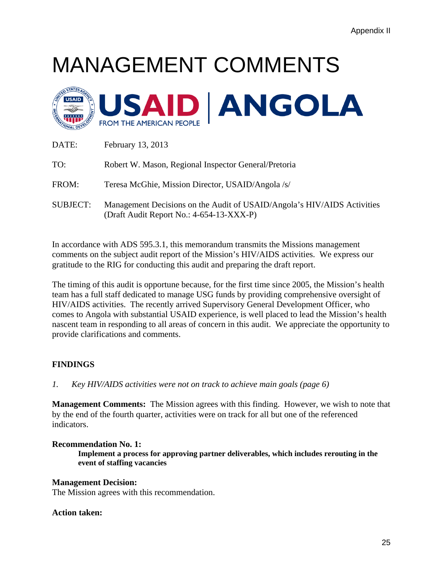# MANAGEMENT COMMENTS



| DATE:           | February 13, 2013                                                                                                   |
|-----------------|---------------------------------------------------------------------------------------------------------------------|
| TO:             | Robert W. Mason, Regional Inspector General/Pretoria                                                                |
| FROM:           | Teresa McGhie, Mission Director, USAID/Angola /s/                                                                   |
| <b>SUBJECT:</b> | Management Decisions on the Audit of USAID/Angola's HIV/AIDS Activities<br>(Draft Audit Report No.: 4-654-13-XXX-P) |

In accordance with ADS 595.3.1, this memorandum transmits the Missions management comments on the subject audit report of the Mission's HIV/AIDS activities. We express our gratitude to the RIG for conducting this audit and preparing the draft report.

The timing of this audit is opportune because, for the first time since 2005, the Mission's health team has a full staff dedicated to manage USG funds by providing comprehensive oversight of HIV/AIDS activities. The recently arrived Supervisory General Development Officer, who comes to Angola with substantial USAID experience, is well placed to lead the Mission's health nascent team in responding to all areas of concern in this audit. We appreciate the opportunity to provide clarifications and comments.

#### **FINDINGS**

 $\mathcal{I}$ . *1. Key HIV/AIDS activities were not on track to achieve main goals (page 6)* 

**Management Comments:** The Mission agrees with this finding. However, we wish to note that by the end of the fourth quarter, activities were on track for all but one of the referenced indicators.

#### **Recommendation No. 1:**

**Implement a process for approving partner deliverables, which includes rerouting in the event of staffing vacancies** 

#### **Management Decision:**

The Mission agrees with this recommendation.

#### **Action taken:**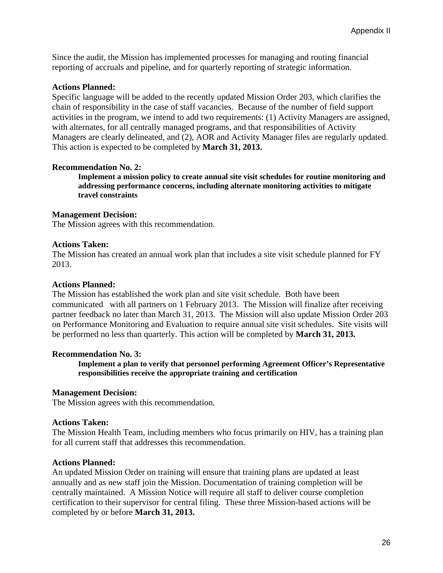Since the audit, the Mission has implemented processes for managing and routing financial reporting of accruals and pipeline, and for quarterly reporting of strategic information.

#### **Actions Planned:**

Specific language will be added to the recently updated Mission Order 203, which clarifies the chain of responsibility in the case of staff vacancies. Because of the number of field support activities in the program, we intend to add two requirements: (1) Activity Managers are assigned, with alternates, for all centrally managed programs, and that responsibilities of Activity Managers are clearly delineated, and (2), AOR and Activity Manager files are regularly updated. This action is expected to be completed by **March 31, 2013.** 

#### **Recommendation No. 2:**

**travel constraints Implement a mission policy to create annual site visit schedules for routine monitoring and addressing performance concerns, including alternate monitoring activities to mitigate** 

#### **Management Decision:**

The Mission agrees with this recommendation.

#### **Actions Taken:**

The Mission has created an annual work plan that includes a site visit schedule planned for FY 2013.

#### **Actions Planned:**

The Mission has established the work plan and site visit schedule. Both have been communicated with all partners on 1 February 2013. The Mission will finalize after receiving partner feedback no later than March 31, 2013. The Mission will also update Mission Order 203 on Performance Monitoring and Evaluation to require annual site visit schedules. Site visits will be performed no less than quarterly. This action will be completed by **March 31, 2013.** 

#### **Recommendation No. 3:**

 **responsibilities receive the appropriate training and certification Management Decision: Implement a plan to verify that personnel performing Agreement Officer's Representative** 

The Mission agrees with this recommendation.

#### **Actions Taken:**

The Mission Health Team, including members who focus primarily on HIV, has a training plan for all current staff that addresses this recommendation.

#### **Actions Planned:**

An updated Mission Order on training will ensure that training plans are updated at least annually and as new staff join the Mission. Documentation of training completion will be centrally maintained. A Mission Notice will require all staff to deliver course completion certification to their supervisor for central filing. These three Mission-based actions will be completed by or before **March 31, 2013.**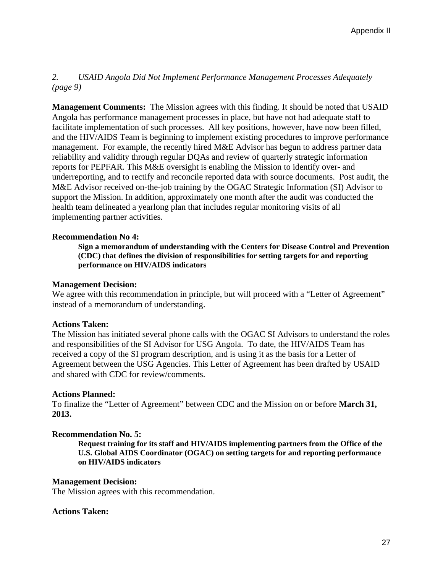#### 2. *2. USAID Angola Did Not Implement Performance Management Processes Adequately (page 9)*

**Management Comments:** The Mission agrees with this finding. It should be noted that USAID Angola has performance management processes in place, but have not had adequate staff to facilitate implementation of such processes. All key positions, however, have now been filled, and the HIV/AIDS Team is beginning to implement existing procedures to improve performance management. For example, the recently hired M&E Advisor has begun to address partner data reliability and validity through regular DQAs and review of quarterly strategic information reports for PEPFAR. This M&E oversight is enabling the Mission to identify over- and underreporting, and to rectify and reconcile reported data with source documents. Post audit, the M&E Advisor received on-the-job training by the OGAC Strategic Information (SI) Advisor to support the Mission. In addition, approximately one month after the audit was conducted the health team delineated a yearlong plan that includes regular monitoring visits of all implementing partner activities.

#### **Recommendation No 4:**

**Sign a memorandum of understanding with the Centers for Disease Control and Prevention (CDC) that defines the division of responsibilities for setting targets for and reporting performance on HIV/AIDS indicators** 

#### **Management Decision:**

We agree with this recommendation in principle, but will proceed with a "Letter of Agreement" instead of a memorandum of understanding.

#### **Actions Taken:**

The Mission has initiated several phone calls with the OGAC SI Advisors to understand the roles and responsibilities of the SI Advisor for USG Angola. To date, the HIV/AIDS Team has received a copy of the SI program description, and is using it as the basis for a Letter of Agreement between the USG Agencies. This Letter of Agreement has been drafted by USAID and shared with CDC for review/comments.

#### **Actions Planned:**

To finalize the "Letter of Agreement" between CDC and the Mission on or before **March 31, 2013.**

#### **Recommendation No. 5:**

**Request training for its staff and HIV/AIDS implementing partners from the Office of the U.S. Global AIDS Coordinator (OGAC) on setting targets for and reporting performance on HIV/AIDS indicators** 

#### **Management Decision:**

The Mission agrees with this recommendation.

#### **Actions Taken:**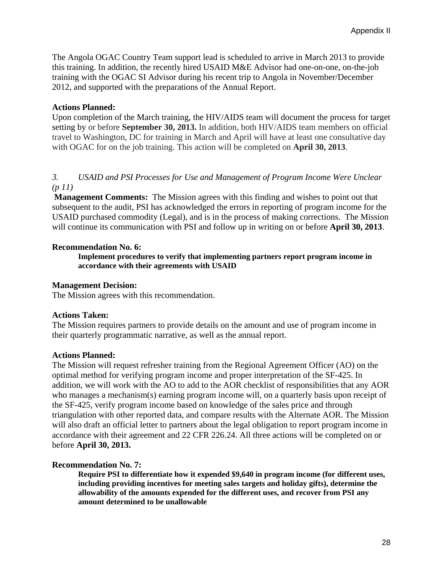The Angola OGAC Country Team support lead is scheduled to arrive in March 2013 to provide this training. In addition, the recently hired USAID M&E Advisor had one-on-one, on-the-job training with the OGAC SI Advisor during his recent trip to Angola in November/December 2012, and supported with the preparations of the Annual Report.

#### **Actions Planned:**

Upon completion of the March training, the HIV/AIDS team will document the process for target setting by or before **September 30, 2013.** In addition, both HIV/AIDS team members on official travel to Washington, DC for training in March and April will have at least one consultative day with OGAC for on the job training. This action will be completed on **April 30, 2013**.

#### 3. *3. USAID and PSI Processes for Use and Management of Program Income Were Unclear (p 11)*

**Management Comments:** The Mission agrees with this finding and wishes to point out that subsequent to the audit, PSI has acknowledged the errors in reporting of program income for the USAID purchased commodity (Legal), and is in the process of making corrections. The Mission will continue its communication with PSI and follow up in writing on or before **April 30, 2013**.

#### **Recommendation No. 6:**

 **accordance with their agreements with USAID Management Decision: Implement procedures to verify that implementing partners report program income in** 

The Mission agrees with this recommendation.

#### **Actions Taken:**

The Mission requires partners to provide details on the amount and use of program income in their quarterly programmatic narrative, as well as the annual report.

#### **Actions Planned:**

The Mission will request refresher training from the Regional Agreement Officer (AO) on the optimal method for verifying program income and proper interpretation of the SF-425. In addition, we will work with the AO to add to the AOR checklist of responsibilities that any AOR who manages a mechanism(s) earning program income will, on a quarterly basis upon receipt of the SF-425, verify program income based on knowledge of the sales price and through triangulation with other reported data, and compare results with the Alternate AOR. The Mission will also draft an official letter to partners about the legal obligation to report program income in accordance with their agreement and 22 CFR 226.24. All three actions will be completed on or before **April 30, 2013.** 

#### **Recommendation No. 7:**

**Require PSI to differentiate how it expended \$9,640 in program income (for different uses, including providing incentives for meeting sales targets and holiday gifts), determine the allowability of the amounts expended for the different uses, and recover from PSI any amount determined to be unallowable**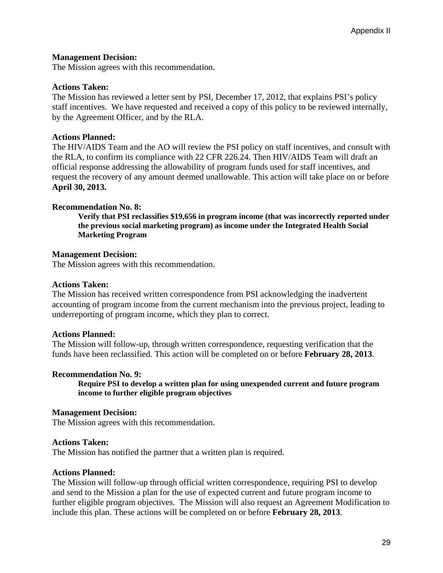#### **Management Decision:**

The Mission agrees with this recommendation.

#### **Actions Taken:**

The Mission has reviewed a letter sent by PSI, December 17, 2012, that explains PSI's policy staff incentives. We have requested and received a copy of this policy to be reviewed internally, by the Agreement Officer, and by the RLA.

#### **Actions Planned:**

The HIV/AIDS Team and the AO will review the PSI policy on staff incentives, and consult with the RLA, to confirm its compliance with 22 CFR 226.24. Then HIV/AIDS Team will draft an official response addressing the allowability of program funds used for staff incentives, and request the recovery of any amount deemed unallowable. This action will take place on or before **April 30, 2013.** 

#### **Recommendation No. 8:**

**Verify that PSI reclassifies \$19,656 in program income (that was incorrectly reported under the previous social marketing program) as income under the Integrated Health Social Marketing Program** 

#### **Management Decision:**

The Mission agrees with this recommendation.

#### **Actions Taken:**

The Mission has received written correspondence from PSI acknowledging the inadvertent accounting of program income from the current mechanism into the previous project, leading to underreporting of program income, which they plan to correct.

#### **Actions Planned:**

The Mission will follow-up, through written correspondence, requesting verification that the funds have been reclassified. This action will be completed on or before **February 28, 2013**.

#### **Recommendation No. 9:**

 **income to further eligible program objectives Require PSI to develop a written plan for using unexpended current and future program** 

#### **Management Decision:**

The Mission agrees with this recommendation.

#### **Actions Taken:**

The Mission has notified the partner that a written plan is required.

#### **Actions Planned:**

The Mission will follow-up through official written correspondence, requiring PSI to develop and send to the Mission a plan for the use of expected current and future program income to further eligible program objectives. The Mission will also request an Agreement Modification to include this plan. These actions will be completed on or before **February 28, 2013**.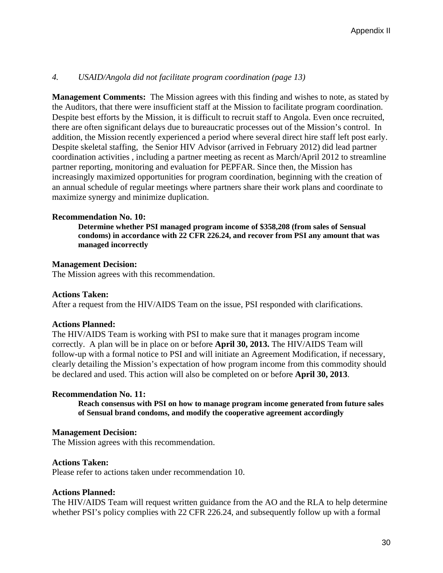#### $\overline{4}$ . *4. USAID/Angola did not facilitate program coordination (page 13)*

**Management Comments:** The Mission agrees with this finding and wishes to note, as stated by the Auditors, that there were insufficient staff at the Mission to facilitate program coordination. Despite best efforts by the Mission, it is difficult to recruit staff to Angola. Even once recruited, there are often significant delays due to bureaucratic processes out of the Mission's control. In addition, the Mission recently experienced a period where several direct hire staff left post early. Despite skeletal staffing, the Senior HIV Advisor (arrived in February 2012) did lead partner coordination activities , including a partner meeting as recent as March/April 2012 to streamline partner reporting, monitoring and evaluation for PEPFAR. Since then, the Mission has increasingly maximized opportunities for program coordination, beginning with the creation of an annual schedule of regular meetings where partners share their work plans and coordinate to maximize synergy and minimize duplication.

#### **Recommendation No. 10:**

**Determine whether PSI managed program income of \$358,208 (from sales of Sensual condoms) in accordance with 22 CFR 226.24, and recover from PSI any amount that was managed incorrectly** 

#### **Management Decision:**

The Mission agrees with this recommendation.

#### **Actions Taken:**

After a request from the HIV/AIDS Team on the issue, PSI responded with clarifications.

#### **Actions Planned:**

The HIV/AIDS Team is working with PSI to make sure that it manages program income correctly. A plan will be in place on or before **April 30, 2013.** The HIV/AIDS Team will follow-up with a formal notice to PSI and will initiate an Agreement Modification, if necessary, clearly detailing the Mission's expectation of how program income from this commodity should be declared and used. This action will also be completed on or before **April 30, 2013**.

#### **Recommendation No. 11:**

 **of Sensual brand condoms, and modify the cooperative agreement accordingly Management Decision: Reach consensus with PSI on how to manage program income generated from future sales** 

The Mission agrees with this recommendation.

#### **Actions Taken:**

Please refer to actions taken under recommendation 10.

#### **Actions Planned:**

The HIV/AIDS Team will request written guidance from the AO and the RLA to help determine whether PSI's policy complies with 22 CFR 226.24, and subsequently follow up with a formal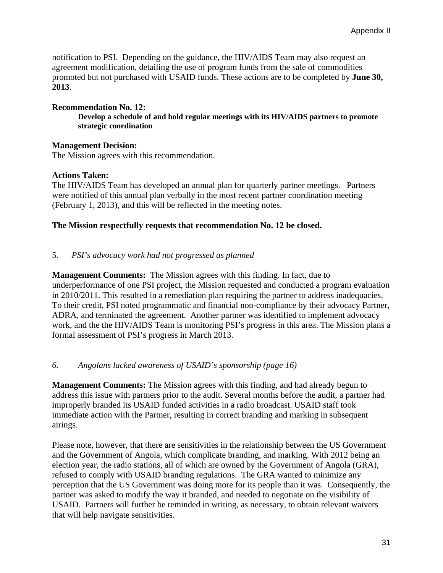notification to PSI. Depending on the guidance, the HIV/AIDS Team may also request an agreement modification, detailing the use of program funds from the sale of commodities promoted but not purchased with USAID funds. These actions are to be completed by **June 30, 2013**.

#### **Recommendation No. 12:**

strategic coordination **Develop a schedule of and hold regular meetings with its HIV/AIDS partners to promote** 

#### **Management Decision:**

The Mission agrees with this recommendation.

#### **Actions Taken:**

The HIV/AIDS Team has developed an annual plan for quarterly partner meetings. Partners were notified of this annual plan verbally in the most recent partner coordination meeting (February 1, 2013), and this will be reflected in the meeting notes.

#### **The Mission respectfully requests that recommendation No. 12 be closed.**

#### 5. *PSI's advocacy work had not progressed as planned*

**Management Comments:** The Mission agrees with this finding. In fact, due to underperformance of one PSI project, the Mission requested and conducted a program evaluation in 2010/2011. This resulted in a remediation plan requiring the partner to address inadequacies. To their credit, PSI noted programmatic and financial non-compliance by their advocacy Partner, ADRA, and terminated the agreement. Another partner was identified to implement advocacy work, and the the HIV/AIDS Team is monitoring PSI's progress in this area. The Mission plans a formal assessment of PSI's progress in March 2013.

#### 6. *6. Angolans lacked awareness of USAID's sponsorship (page 16)*

**Management Comments:** The Mission agrees with this finding, and had already begun to address this issue with partners prior to the audit. Several months before the audit, a partner had improperly branded its USAID funded activities in a radio broadcast. USAID staff took immediate action with the Partner, resulting in correct branding and marking in subsequent airings.

Please note, however, that there are sensitivities in the relationship between the US Government and the Government of Angola, which complicate branding, and marking. With 2012 being an election year, the radio stations, all of which are owned by the Government of Angola (GRA), refused to comply with USAID branding regulations. The GRA wanted to minimize any perception that the US Government was doing more for its people than it was. Consequently, the partner was asked to modify the way it branded, and needed to negotiate on the visibility of USAID. Partners will further be reminded in writing, as necessary, to obtain relevant waivers that will help navigate sensitivities.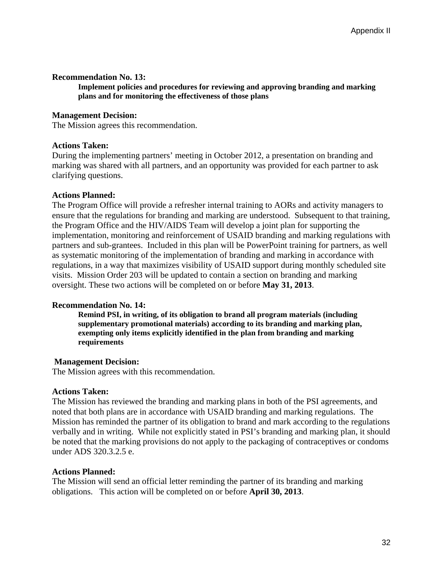#### **Recommendation No. 13:**

 **plans and for monitoring the effectiveness of those plans Management Decision:** Implement policies and procedures for reviewing and approving branding and marking

#### **Management Decision:**

The Mission agrees this recommendation.

#### **Actions Taken:**

During the implementing partners' meeting in October 2012, a presentation on branding and marking was shared with all partners, and an opportunity was provided for each partner to ask clarifying questions.

#### **Actions Planned:**

The Program Office will provide a refresher internal training to AORs and activity managers to ensure that the regulations for branding and marking are understood. Subsequent to that training, the Program Office and the HIV/AIDS Team will develop a joint plan for supporting the implementation, monitoring and reinforcement of USAID branding and marking regulations with partners and sub-grantees. Included in this plan will be PowerPoint training for partners, as well as systematic monitoring of the implementation of branding and marking in accordance with regulations, in a way that maximizes visibility of USAID support during monthly scheduled site visits. Mission Order 203 will be updated to contain a section on branding and marking oversight. These two actions will be completed on or before **May 31, 2013**.

#### **Recommendation No. 14:**

**Remind PSI, in writing, of its obligation to brand all program materials (including supplementary promotional materials) according to its branding and marking plan, exempting only items explicitly identified in the plan from branding and marking requirements** 

#### **Management Decision:**

The Mission agrees with this recommendation.

#### **Actions Taken:**

The Mission has reviewed the branding and marking plans in both of the PSI agreements, and noted that both plans are in accordance with USAID branding and marking regulations. The Mission has reminded the partner of its obligation to brand and mark according to the regulations verbally and in writing. While not explicitly stated in PSI's branding and marking plan, it should be noted that the marking provisions do not apply to the packaging of contraceptives or condoms under ADS 320.3.2.5 e.

#### **Actions Planned:**

The Mission will send an official letter reminding the partner of its branding and marking obligations. This action will be completed on or before **April 30, 2013**.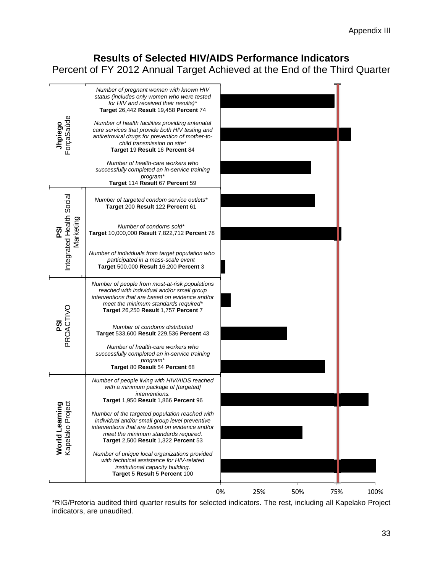### **Results of Selected HIV/AIDS Performance Indicators**

Percent of FY 2012 Annual Target Achieved at the End of the Third Quarter

|                                                          | Number of pregnant women with known HIV<br>status (includes only women who were tested<br>for HIV and received their results)*<br><b>Target 26,442 Result 19,458 Percent 74</b>                                                     |    |     |     |     |
|----------------------------------------------------------|-------------------------------------------------------------------------------------------------------------------------------------------------------------------------------------------------------------------------------------|----|-----|-----|-----|
| <b>Jhpiego</b><br>ForçaSaùde                             | Number of health facilities providing antenatal<br>care services that provide both HIV testing and<br>antiretroviral drugs for prevention of mother-to-<br>child transmission on site*<br>Target 19 Result 16 Percent 84            |    |     |     |     |
|                                                          | Number of health-care workers who<br>successfully completed an in-service training<br>program*<br>Target 114 Result 67 Percent 59                                                                                                   |    |     |     |     |
|                                                          | Number of targeted condom service outlets*<br>Target 200 Result 122 Percent 61                                                                                                                                                      |    |     |     |     |
| Integrated Health Social<br>Marketing<br><u>რ</u>        | Number of condoms sold*<br>Target 10,000,000 Result 7,822,712 Percent 78                                                                                                                                                            |    |     |     |     |
|                                                          | Number of individuals from target population who<br>participated in a mass-scale event<br><b>Target 500,000 Result 16,200 Percent 3</b>                                                                                             |    |     |     |     |
|                                                          | Number of people from most-at-risk populations<br>reached with individual and/or small group<br>interventions that are based on evidence and/or<br>meet the minimum standards required*<br>Target 26,250 Result 1,757 Percent 7     |    |     |     |     |
| PSI<br>PROACTIVO                                         | Number of condoms distributed<br>Target 533,600 Result 229,536 Percent 43                                                                                                                                                           |    |     |     |     |
|                                                          | Number of health-care workers who<br>successfully completed an in-service training<br>program*<br>Target 80 Result 54 Percent 68                                                                                                    |    |     |     |     |
|                                                          | Number of people living with HIV/AIDS reached<br>with a minimum package of [targeted]<br>interventions.<br>Target 1,950 Result 1,866 Percent 96                                                                                     |    |     |     |     |
| …… –⊷arn <b>ıng</b><br>Kapelako Project<br>World Learnin | Number of the targeted population reached with<br>individual and/or small group level preventive<br>interventions that are based on evidence and/or<br>meet the minimum standards required.<br>Target 2,500 Result 1,322 Percent 53 |    |     |     |     |
|                                                          | Number of unique local organizations provided<br>with technical assistance for HIV-related<br>institutional capacity building.<br>Target 5 Result 5 Percent 100                                                                     |    |     |     |     |
|                                                          |                                                                                                                                                                                                                                     | 0% | 25% | 50% | 75% |

\*RIG/Pretoria audited third quarter results for selected indicators. The rest, including all Kapelako Project indicators, are unaudited.